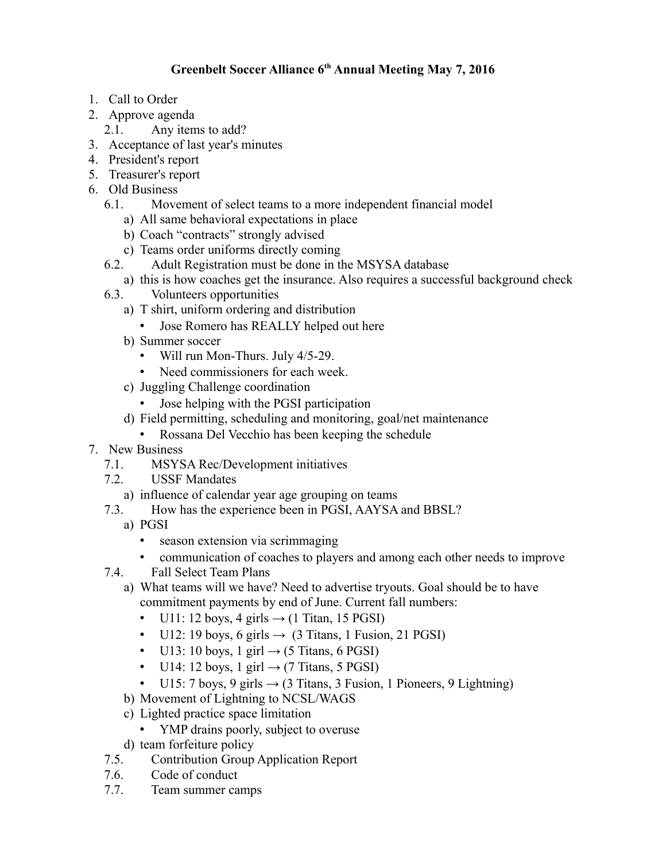## **Greenbelt Soccer Alliance 6th Annual Meeting May 7, 2016**

- 1. Call to Order
- 2. Approve agenda
	- 2.1. Any items to add?
- 3. Acceptance of last year's minutes
- 4. President's report
- 5. Treasurer's report
- 6. Old Business
	- 6.1. Movement of select teams to a more independent financial model
		- a) All same behavioral expectations in place
		- b) Coach "contracts" strongly advised
		- c) Teams order uniforms directly coming
	- 6.2. Adult Registration must be done in the MSYSA database
		- a) this is how coaches get the insurance. Also requires a successful background check
	- 6.3. Volunteers opportunities
		- a) T shirt, uniform ordering and distribution
			- Jose Romero has REALLY helped out here
		- b) Summer soccer
			- Will run Mon-Thurs. July 4/5-29.
			- Need commissioners for each week.
		- c) Juggling Challenge coordination
			- Jose helping with the PGSI participation
		- d) Field permitting, scheduling and monitoring, goal/net maintenance
			- Rossana Del Vecchio has been keeping the schedule
- 7. New Business
	- 7.1. MSYSA Rec/Development initiatives
	- 7.2. USSF Mandates
		- a) influence of calendar year age grouping on teams
	- 7.3. How has the experience been in PGSI, AAYSA and BBSL?
		- a) PGSI
			- season extension via scrimmaging
			- communication of coaches to players and among each other needs to improve
	- 7.4. Fall Select Team Plans
		- a) What teams will we have? Need to advertise tryouts. Goal should be to have commitment payments by end of June. Current fall numbers:
			- U11: 12 boys, 4 girls  $\rightarrow$  (1 Titan, 15 PGSI)
			- U12: 19 boys, 6 girls  $\rightarrow$  (3 Titans, 1 Fusion, 21 PGSI)
			- U13: 10 boys, 1 girl  $\rightarrow$  (5 Titans, 6 PGSI)
			- U14: 12 boys, 1 girl  $\rightarrow$  (7 Titans, 5 PGSI)
			- U15: 7 boys, 9 girls  $\rightarrow$  (3 Titans, 3 Fusion, 1 Pioneers, 9 Lightning)
		- b) Movement of Lightning to NCSL/WAGS
		- c) Lighted practice space limitation
			- YMP drains poorly, subject to overuse
		- d) team forfeiture policy
	- 7.5. Contribution Group Application Report
	- 7.6. Code of conduct
	- 7.7. Team summer camps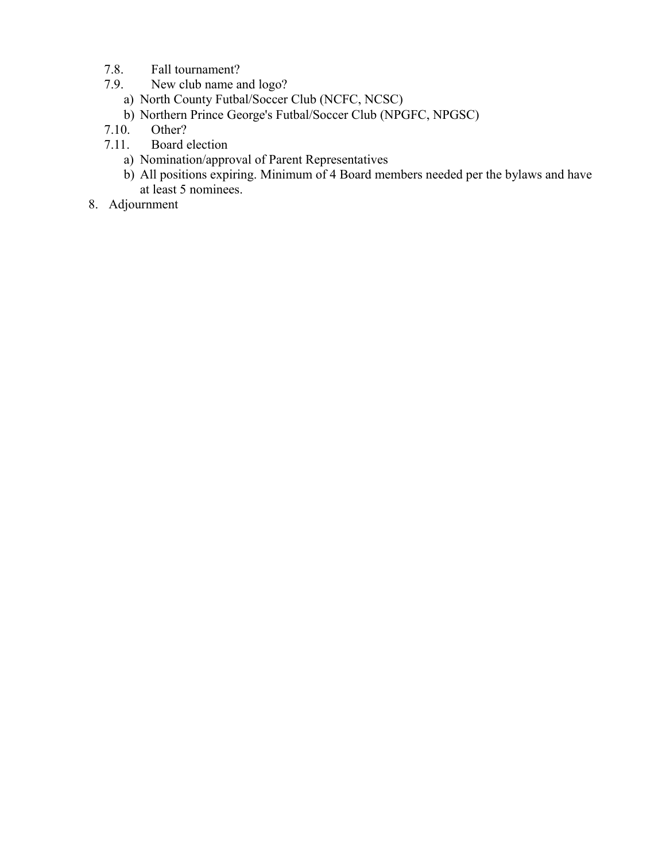- 7.8. Fall tournament?
- 7.9. New club name and logo?
	- a) North County Futbal/Soccer Club (NCFC, NCSC)
	- b) Northern Prince George's Futbal/Soccer Club (NPGFC, NPGSC)
- 7.10. Other?
- 7.11. Board election
	- a) Nomination/approval of Parent Representatives
	- b) All positions expiring. Minimum of 4 Board members needed per the bylaws and have at least 5 nominees.
- 8. Adjournment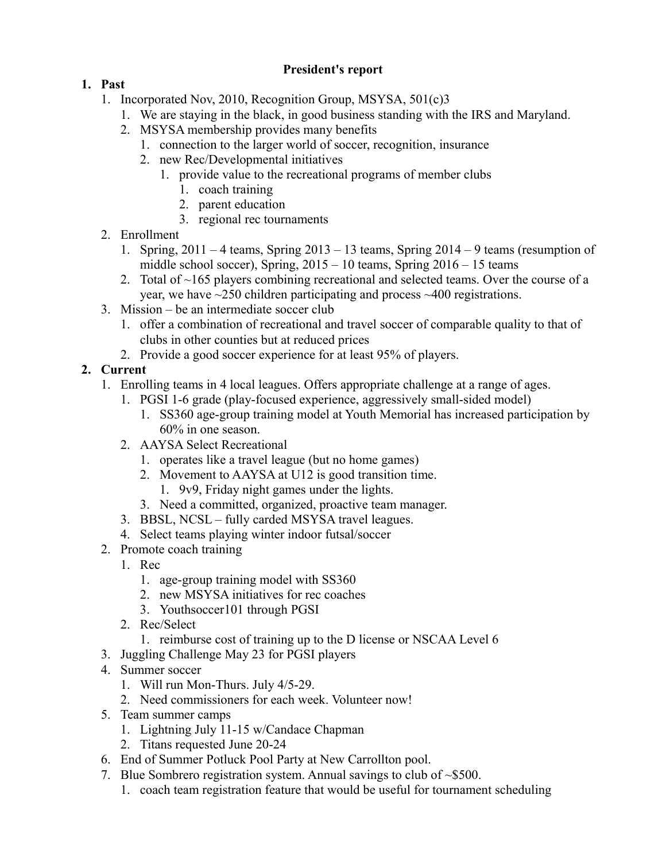## **President's report**

- **1. Past** 
	- 1. Incorporated Nov, 2010, Recognition Group, MSYSA, 501(c)3
		- 1. We are staying in the black, in good business standing with the IRS and Maryland.
		- 2. MSYSA membership provides many benefits
			- 1. connection to the larger world of soccer, recognition, insurance
			- 2. new Rec/Developmental initiatives
				- 1. provide value to the recreational programs of member clubs
					- 1. coach training
					- 2. parent education
					- 3. regional rec tournaments
	- 2. Enrollment
		- 1. Spring, 2011 4 teams, Spring 2013 13 teams, Spring 2014 9 teams (resumption of middle school soccer), Spring, 2015 – 10 teams, Spring 2016 – 15 teams
		- 2. Total of ~165 players combining recreational and selected teams. Over the course of a year, we have ~250 children participating and process ~400 registrations.
	- 3. Mission be an intermediate soccer club
		- 1. offer a combination of recreational and travel soccer of comparable quality to that of clubs in other counties but at reduced prices
		- 2. Provide a good soccer experience for at least 95% of players.

## **2. Current**

- 1. Enrolling teams in 4 local leagues. Offers appropriate challenge at a range of ages.
	- 1. PGSI 1-6 grade (play-focused experience, aggressively small-sided model)
		- 1. SS360 age-group training model at Youth Memorial has increased participation by 60% in one season.
	- 2. AAYSA Select Recreational
		- 1. operates like a travel league (but no home games)
		- 2. Movement to AAYSA at U12 is good transition time.
			- 1. 9v9, Friday night games under the lights.
		- 3. Need a committed, organized, proactive team manager.
	- 3. BBSL, NCSL fully carded MSYSA travel leagues.
	- 4. Select teams playing winter indoor futsal/soccer
- 2. Promote coach training
	- 1. Rec
		- 1. age-group training model with SS360
		- 2. new MSYSA initiatives for rec coaches
		- 3. Youthsoccer101 through PGSI
	- 2. Rec/Select
		- 1. reimburse cost of training up to the D license or NSCAA Level 6
- 3. Juggling Challenge May 23 for PGSI players
- 4. Summer soccer
	- 1. Will run Mon-Thurs. July 4/5-29.
	- 2. Need commissioners for each week. Volunteer now!
- 5. Team summer camps
	- 1. Lightning July 11-15 w/Candace Chapman
	- 2. Titans requested June 20-24
- 6. End of Summer Potluck Pool Party at New Carrollton pool.
- 7. Blue Sombrero registration system. Annual savings to club of ~\$500.
	- 1. coach team registration feature that would be useful for tournament scheduling